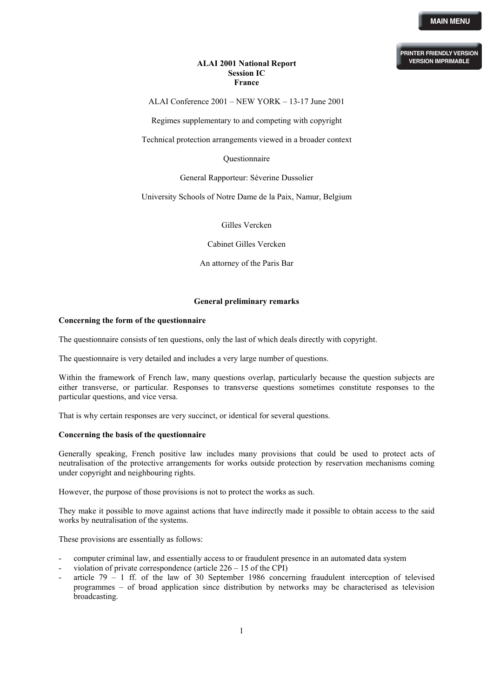#### **PRINTER FRIENDLY VERSION VERSION IMPRIMABLE**

# **ALAI 2001 National Report Session IC France**

ALAI Conference 2001 – NEW YORK – 13-17 June 2001

Regimes supplementary to and competing with copyright

Technical protection arrangements viewed in a broader context

Questionnaire

General Rapporteur: Séverine Dussolier

University Schools of Notre Dame de la Paix, Namur, Belgium

Gilles Vercken

Cabinet Gilles Vercken

An attorney of the Paris Bar

#### **General preliminary remarks**

## **Concerning the form of the questionnaire**

The questionnaire consists of ten questions, only the last of which deals directly with copyright.

The questionnaire is very detailed and includes a very large number of questions.

Within the framework of French law, many questions overlap, particularly because the question subjects are either transverse, or particular. Responses to transverse questions sometimes constitute responses to the particular questions, and vice versa.

That is why certain responses are very succinct, or identical for several questions.

#### **Concerning the basis of the questionnaire**

Generally speaking, French positive law includes many provisions that could be used to protect acts of neutralisation of the protective arrangements for works outside protection by reservation mechanisms coming under copyright and neighbouring rights.

However, the purpose of those provisions is not to protect the works as such.

They make it possible to move against actions that have indirectly made it possible to obtain access to the said works by neutralisation of the systems.

These provisions are essentially as follows:

- computer criminal law, and essentially access to or fraudulent presence in an automated data system
- violation of private correspondence (article  $226 15$  of the CPI)
- article  $79 1$  ff. of the law of 30 September 1986 concerning fraudulent interception of televised programmes – of broad application since distribution by networks may be characterised as television broadcasting.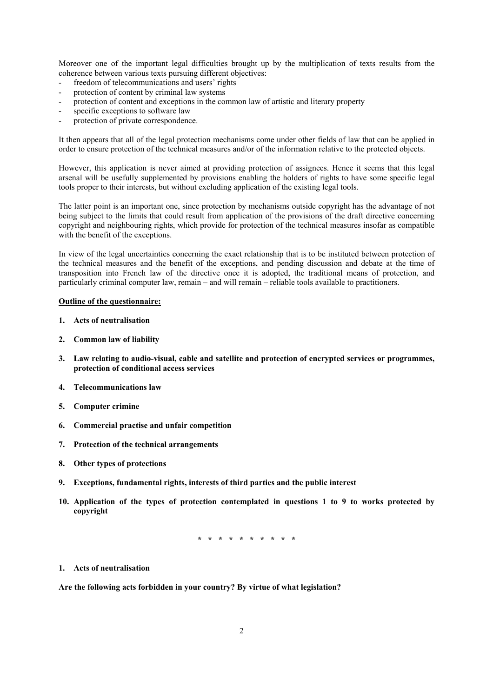Moreover one of the important legal difficulties brought up by the multiplication of texts results from the coherence between various texts pursuing different objectives:

- freedom of telecommunications and users' rights
- protection of content by criminal law systems
- protection of content and exceptions in the common law of artistic and literary property
- specific exceptions to software law
- protection of private correspondence.

It then appears that all of the legal protection mechanisms come under other fields of law that can be applied in order to ensure protection of the technical measures and/or of the information relative to the protected objects.

However, this application is never aimed at providing protection of assignees. Hence it seems that this legal arsenal will be usefully supplemented by provisions enabling the holders of rights to have some specific legal tools proper to their interests, but without excluding application of the existing legal tools.

The latter point is an important one, since protection by mechanisms outside copyright has the advantage of not being subject to the limits that could result from application of the provisions of the draft directive concerning copyright and neighbouring rights, which provide for protection of the technical measures insofar as compatible with the benefit of the exceptions.

In view of the legal uncertainties concerning the exact relationship that is to be instituted between protection of the technical measures and the benefit of the exceptions, and pending discussion and debate at the time of transposition into French law of the directive once it is adopted, the traditional means of protection, and particularly criminal computer law, remain – and will remain – reliable tools available to practitioners.

# **Outline of the questionnaire:**

- **1. Acts of neutralisation**
- **2. Common law of liability**
- **3. Law relating to audio-visual, cable and satellite and protection of encrypted services or programmes, protection of conditional access services**
- **4. Telecommunications law**
- **5. Computer crimine**
- **6. Commercial practise and unfair competition**
- **7. Protection of the technical arrangements**
- **8. Other types of protections**
- **9. Exceptions, fundamental rights, interests of third parties and the public interest**
- **10. Application of the types of protection contemplated in questions 1 to 9 to works protected by copyright**

**\* \* \* \* \* \* \* \* \* \*** 

**1. Acts of neutralisation** 

**Are the following acts forbidden in your country? By virtue of what legislation?**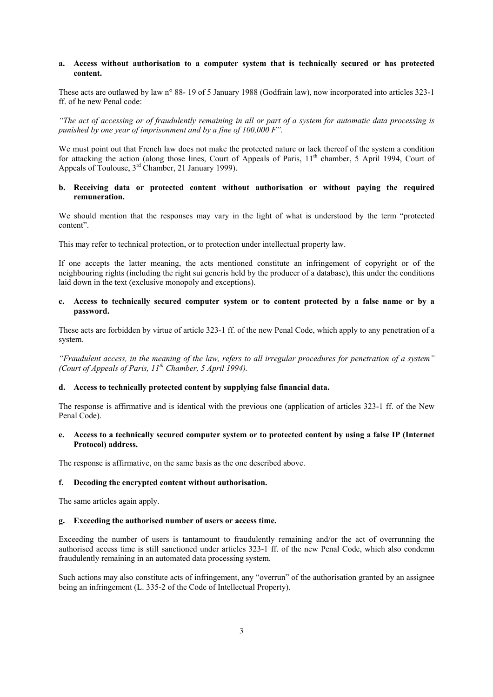### **a. Access without authorisation to a computer system that is technically secured or has protected content.**

These acts are outlawed by law n° 88- 19 of 5 January 1988 (Godfrain law), now incorporated into articles 323-1 ff. of he new Penal code:

*"The act of accessing or of fraudulently remaining in all or part of a system for automatic data processing is punished by one year of imprisonment and by a fine of 100,000 F".* 

We must point out that French law does not make the protected nature or lack thereof of the system a condition for attacking the action (along those lines, Court of Appeals of Paris, 11<sup>th</sup> chamber, 5 April 1994, Court of Appeals of Toulouse,  $3<sup>rd</sup>$  Chamber, 21 January 1999).

# **b. Receiving data or protected content without authorisation or without paying the required remuneration.**

We should mention that the responses may vary in the light of what is understood by the term "protected content".

This may refer to technical protection, or to protection under intellectual property law.

If one accepts the latter meaning, the acts mentioned constitute an infringement of copyright or of the neighbouring rights (including the right sui generis held by the producer of a database), this under the conditions laid down in the text (exclusive monopoly and exceptions).

# **c. Access to technically secured computer system or to content protected by a false name or by a password.**

These acts are forbidden by virtue of article 323-1 ff. of the new Penal Code, which apply to any penetration of a system.

*"Fraudulent access, in the meaning of the law, refers to all irregular procedures for penetration of a system" (Court of Appeals of Paris, 11th Chamber, 5 April 1994).* 

#### **d. Access to technically protected content by supplying false financial data.**

The response is affirmative and is identical with the previous one (application of articles 323-1 ff. of the New Penal Code).

# **e. Access to a technically secured computer system or to protected content by using a false IP (Internet Protocol) address.**

The response is affirmative, on the same basis as the one described above.

#### **f. Decoding the encrypted content without authorisation.**

The same articles again apply.

# **g. Exceeding the authorised number of users or access time.**

Exceeding the number of users is tantamount to fraudulently remaining and/or the act of overrunning the authorised access time is still sanctioned under articles 323-1 ff. of the new Penal Code, which also condemn fraudulently remaining in an automated data processing system.

Such actions may also constitute acts of infringement, any "overrun" of the authorisation granted by an assignee being an infringement (L. 335-2 of the Code of Intellectual Property).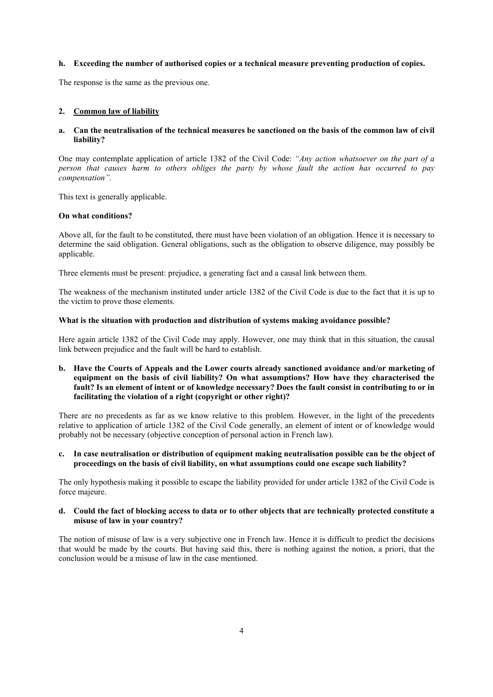# **h. Exceeding the number of authorised copies or a technical measure preventing production of copies.**

The response is the same as the previous one.

# **2. Common law of liability**

# **a. Can the neutralisation of the technical measures be sanctioned on the basis of the common law of civil liability?**

One may contemplate application of article 1382 of the Civil Code: *"Any action whatsoever on the part of a person that causes harm to others obliges the party by whose fault the action has occurred to pay compensation".* 

This text is generally applicable.

# **On what conditions?**

Above all, for the fault to be constituted, there must have been violation of an obligation. Hence it is necessary to determine the said obligation. General obligations, such as the obligation to observe diligence, may possibly be applicable.

Three elements must be present: prejudice, a generating fact and a causal link between them.

The weakness of the mechanism instituted under article 1382 of the Civil Code is due to the fact that it is up to the victim to prove those elements.

### **What is the situation with production and distribution of systems making avoidance possible?**

Here again article 1382 of the Civil Code may apply. However, one may think that in this situation, the causal link between prejudice and the fault will be hard to establish.

# **b. Have the Courts of Appeals and the Lower courts already sanctioned avoidance and/or marketing of equipment on the basis of civil liability? On what assumptions? How have they characterised the fault? Is an element of intent or of knowledge necessary? Does the fault consist in contributing to or in facilitating the violation of a right (copyright or other right)?**

There are no precedents as far as we know relative to this problem. However, in the light of the precedents relative to application of article 1382 of the Civil Code generally, an element of intent or of knowledge would probably not be necessary (objective conception of personal action in French law).

**c. In case neutralisation or distribution of equipment making neutralisation possible can be the object of proceedings on the basis of civil liability, on what assumptions could one escape such liability?** 

The only hypothesis making it possible to escape the liability provided for under article 1382 of the Civil Code is force majeure.

## **d. Could the fact of blocking access to data or to other objects that are technically protected constitute a misuse of law in your country?**

The notion of misuse of law is a very subjective one in French law. Hence it is difficult to predict the decisions that would be made by the courts. But having said this, there is nothing against the notion, a priori, that the conclusion would be a misuse of law in the case mentioned.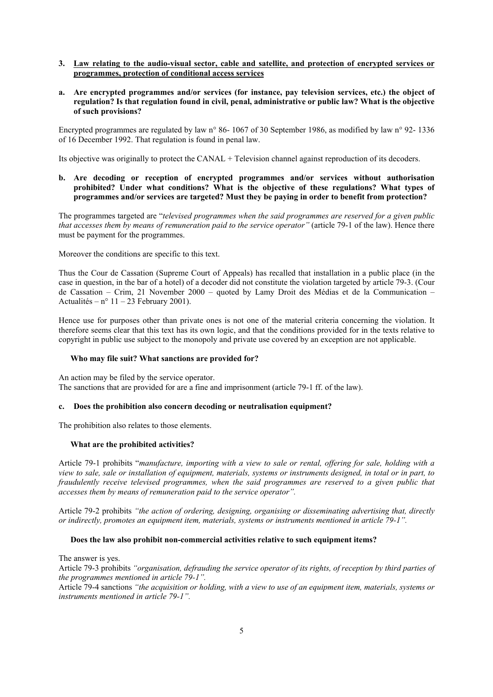# **3. Law relating to the audio-visual sector, cable and satellite, and protection of encrypted services or programmes, protection of conditional access services**

**a. Are encrypted programmes and/or services (for instance, pay television services, etc.) the object of regulation? Is that regulation found in civil, penal, administrative or public law? What is the objective of such provisions?** 

Encrypted programmes are regulated by law n° 86- 1067 of 30 September 1986, as modified by law n° 92- 1336 of 16 December 1992. That regulation is found in penal law.

Its objective was originally to protect the CANAL + Television channel against reproduction of its decoders.

**b. Are decoding or reception of encrypted programmes and/or services without authorisation prohibited? Under what conditions? What is the objective of these regulations? What types of programmes and/or services are targeted? Must they be paying in order to benefit from protection?** 

The programmes targeted are "*televised programmes when the said programmes are reserved for a given public that accesses them by means of remuneration paid to the service operator"* (article 79-1 of the law). Hence there must be payment for the programmes.

Moreover the conditions are specific to this text.

Thus the Cour de Cassation (Supreme Court of Appeals) has recalled that installation in a public place (in the case in question, in the bar of a hotel) of a decoder did not constitute the violation targeted by article 79-3. (Cour de Cassation – Crim, 21 November 2000 – quoted by Lamy Droit des Médias et de la Communication – Actualités – n°  $11 - 23$  February 2001).

Hence use for purposes other than private ones is not one of the material criteria concerning the violation. It therefore seems clear that this text has its own logic, and that the conditions provided for in the texts relative to copyright in public use subject to the monopoly and private use covered by an exception are not applicable.

# **Who may file suit? What sanctions are provided for?**

An action may be filed by the service operator. The sanctions that are provided for are a fine and imprisonment (article 79-1 ff. of the law).

#### **c. Does the prohibition also concern decoding or neutralisation equipment?**

The prohibition also relates to those elements.

#### **What are the prohibited activities?**

Article 79-1 prohibits "*manufacture, importing with a view to sale or rental, offering for sale, holding with a view to sale, sale or installation of equipment, materials, systems or instruments designed, in total or in part, to fraudulently receive televised programmes, when the said programmes are reserved to a given public that accesses them by means of remuneration paid to the service operator".* 

Article 79-2 prohibits *"the action of ordering, designing, organising or disseminating advertising that, directly or indirectly, promotes an equipment item, materials, systems or instruments mentioned in article 79-1".*

# **Does the law also prohibit non-commercial activities relative to such equipment items?**

The answer is yes.

Article 79-3 prohibits *"organisation, defrauding the service operator of its rights, of reception by third parties of the programmes mentioned in article 79-1".* 

Article 79-4 sanctions *"the acquisition or holding, with a view to use of an equipment item, materials, systems or instruments mentioned in article 79-1".*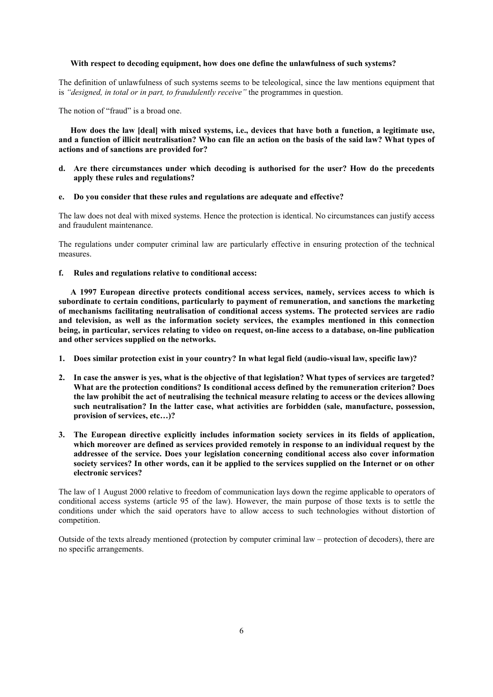#### **With respect to decoding equipment, how does one define the unlawfulness of such systems?**

The definition of unlawfulness of such systems seems to be teleological, since the law mentions equipment that is *"designed, in total or in part, to fraudulently receive"* the programmes in question.

The notion of "fraud" is a broad one.

**How does the law [deal] with mixed systems, i.e., devices that have both a function, a legitimate use, and a function of illicit neutralisation? Who can file an action on the basis of the said law? What types of actions and of sanctions are provided for?** 

- **d. Are there circumstances under which decoding is authorised for the user? How do the precedents apply these rules and regulations?**
- **e. Do you consider that these rules and regulations are adequate and effective?**

The law does not deal with mixed systems. Hence the protection is identical. No circumstances can justify access and fraudulent maintenance.

The regulations under computer criminal law are particularly effective in ensuring protection of the technical measures.

**f. Rules and regulations relative to conditional access:** 

**A 1997 European directive protects conditional access services, namely, services access to which is subordinate to certain conditions, particularly to payment of remuneration, and sanctions the marketing of mechanisms facilitating neutralisation of conditional access systems. The protected services are radio and television, as well as the information society services, the examples mentioned in this connection being, in particular, services relating to video on request, on-line access to a database, on-line publication and other services supplied on the networks.** 

- **1. Does similar protection exist in your country? In what legal field (audio-visual law, specific law)?**
- **2. In case the answer is yes, what is the objective of that legislation? What types of services are targeted? What are the protection conditions? Is conditional access defined by the remuneration criterion? Does the law prohibit the act of neutralising the technical measure relating to access or the devices allowing such neutralisation? In the latter case, what activities are forbidden (sale, manufacture, possession, provision of services, etc…)?**
- **3. The European directive explicitly includes information society services in its fields of application, which moreover are defined as services provided remotely in response to an individual request by the addressee of the service. Does your legislation concerning conditional access also cover information society services? In other words, can it be applied to the services supplied on the Internet or on other electronic services?**

The law of 1 August 2000 relative to freedom of communication lays down the regime applicable to operators of conditional access systems (article 95 of the law). However, the main purpose of those texts is to settle the conditions under which the said operators have to allow access to such technologies without distortion of competition.

Outside of the texts already mentioned (protection by computer criminal law – protection of decoders), there are no specific arrangements.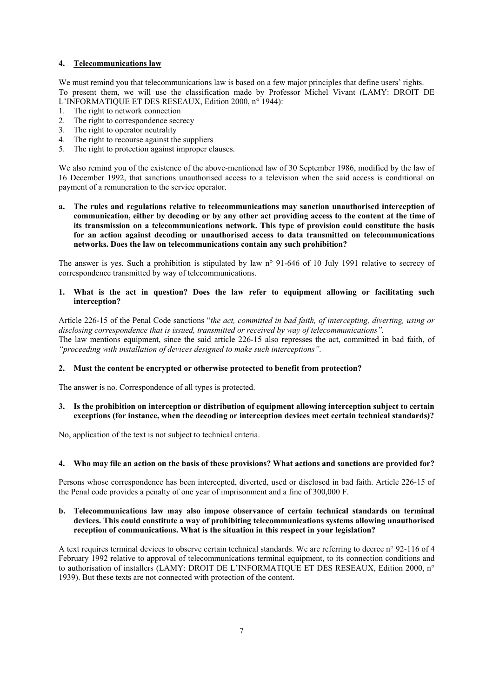# **4. Telecommunications law**

We must remind you that telecommunications law is based on a few major principles that define users' rights. To present them, we will use the classification made by Professor Michel Vivant (LAMY: DROIT DE L'INFORMATIQUE ET DES RESEAUX, Edition 2000, n° 1944):

- 1. The right to network connection
- 2. The right to correspondence secrecy
- 3. The right to operator neutrality
- 4. The right to recourse against the suppliers
- 5. The right to protection against improper clauses.

We also remind you of the existence of the above-mentioned law of 30 September 1986, modified by the law of 16 December 1992, that sanctions unauthorised access to a television when the said access is conditional on payment of a remuneration to the service operator.

**a. The rules and regulations relative to telecommunications may sanction unauthorised interception of communication, either by decoding or by any other act providing access to the content at the time of its transmission on a telecommunications network. This type of provision could constitute the basis for an action against decoding or unauthorised access to data transmitted on telecommunications networks. Does the law on telecommunications contain any such prohibition?** 

The answer is yes. Such a prohibition is stipulated by law n° 91-646 of 10 July 1991 relative to secrecy of correspondence transmitted by way of telecommunications.

## **1. What is the act in question? Does the law refer to equipment allowing or facilitating such interception?**

Article 226-15 of the Penal Code sanctions "*the act, committed in bad faith, of intercepting, diverting, using or disclosing correspondence that is issued, transmitted or received by way of telecommunications".*  The law mentions equipment, since the said article 226-15 also represses the act, committed in bad faith, of *"proceeding with installation of devices designed to make such interceptions".* 

#### **2. Must the content be encrypted or otherwise protected to benefit from protection?**

The answer is no. Correspondence of all types is protected.

# **3. Is the prohibition on interception or distribution of equipment allowing interception subject to certain exceptions (for instance, when the decoding or interception devices meet certain technical standards)?**

No, application of the text is not subject to technical criteria.

### **4. Who may file an action on the basis of these provisions? What actions and sanctions are provided for?**

Persons whose correspondence has been intercepted, diverted, used or disclosed in bad faith. Article 226-15 of the Penal code provides a penalty of one year of imprisonment and a fine of 300,000 F.

# **b. Telecommunications law may also impose observance of certain technical standards on terminal devices. This could constitute a way of prohibiting telecommunications systems allowing unauthorised reception of communications. What is the situation in this respect in your legislation?**

A text requires terminal devices to observe certain technical standards. We are referring to decree n° 92-116 of 4 February 1992 relative to approval of telecommunications terminal equipment, to its connection conditions and to authorisation of installers (LAMY: DROIT DE L'INFORMATIQUE ET DES RESEAUX, Edition 2000, n° 1939). But these texts are not connected with protection of the content.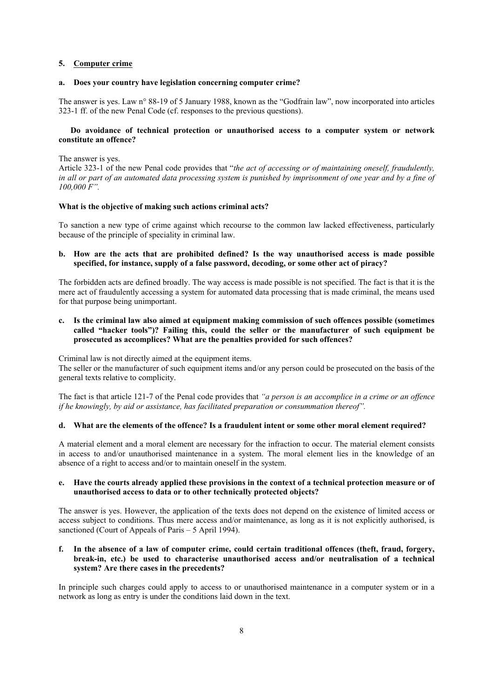# **5. Computer crime**

#### **a. Does your country have legislation concerning computer crime?**

The answer is yes. Law n° 88-19 of 5 January 1988, known as the "Godfrain law", now incorporated into articles 323-1 ff. of the new Penal Code (cf. responses to the previous questions).

# **Do avoidance of technical protection or unauthorised access to a computer system or network constitute an offence?**

## The answer is yes.

Article 323-1 of the new Penal code provides that "*the act of accessing or of maintaining oneself, fraudulently, in all or part of an automated data processing system is punished by imprisonment of one year and by a fine of 100,000 F".* 

#### **What is the objective of making such actions criminal acts?**

To sanction a new type of crime against which recourse to the common law lacked effectiveness, particularly because of the principle of speciality in criminal law.

**b. How are the acts that are prohibited defined? Is the way unauthorised access is made possible specified, for instance, supply of a false password, decoding, or some other act of piracy?** 

The forbidden acts are defined broadly. The way access is made possible is not specified. The fact is that it is the mere act of fraudulently accessing a system for automated data processing that is made criminal, the means used for that purpose being unimportant.

**c. Is the criminal law also aimed at equipment making commission of such offences possible (sometimes called "hacker tools")? Failing this, could the seller or the manufacturer of such equipment be prosecuted as accomplices? What are the penalties provided for such offences?** 

Criminal law is not directly aimed at the equipment items.

The seller or the manufacturer of such equipment items and/or any person could be prosecuted on the basis of the general texts relative to complicity.

The fact is that article 121-7 of the Penal code provides that *"a person is an accomplice in a crime or an offence if he knowingly, by aid or assistance, has facilitated preparation or consummation thereof".* 

# **d. What are the elements of the offence? Is a fraudulent intent or some other moral element required?**

A material element and a moral element are necessary for the infraction to occur. The material element consists in access to and/or unauthorised maintenance in a system. The moral element lies in the knowledge of an absence of a right to access and/or to maintain oneself in the system.

# **e. Have the courts already applied these provisions in the context of a technical protection measure or of unauthorised access to data or to other technically protected objects?**

The answer is yes. However, the application of the texts does not depend on the existence of limited access or access subject to conditions. Thus mere access and/or maintenance, as long as it is not explicitly authorised, is sanctioned (Court of Appeals of Paris – 5 April 1994).

# **f. In the absence of a law of computer crime, could certain traditional offences (theft, fraud, forgery, break-in, etc.) be used to characterise unauthorised access and/or neutralisation of a technical system? Are there cases in the precedents?**

In principle such charges could apply to access to or unauthorised maintenance in a computer system or in a network as long as entry is under the conditions laid down in the text.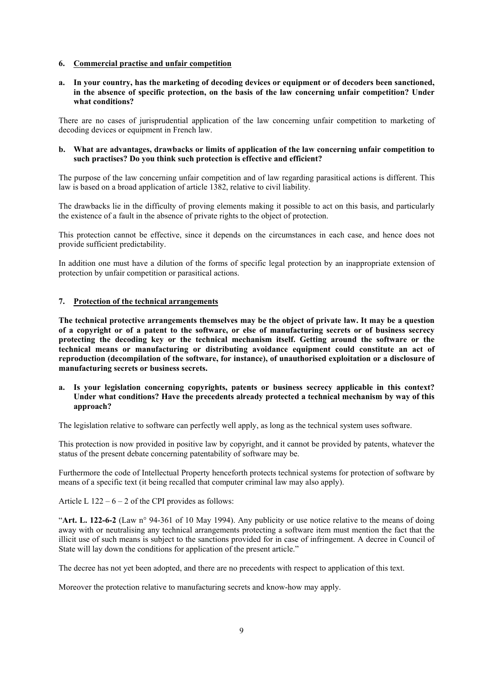#### **6. Commercial practise and unfair competition**

**a. In your country, has the marketing of decoding devices or equipment or of decoders been sanctioned, in the absence of specific protection, on the basis of the law concerning unfair competition? Under what conditions?** 

There are no cases of jurisprudential application of the law concerning unfair competition to marketing of decoding devices or equipment in French law.

# **b. What are advantages, drawbacks or limits of application of the law concerning unfair competition to such practises? Do you think such protection is effective and efficient?**

The purpose of the law concerning unfair competition and of law regarding parasitical actions is different. This law is based on a broad application of article 1382, relative to civil liability.

The drawbacks lie in the difficulty of proving elements making it possible to act on this basis, and particularly the existence of a fault in the absence of private rights to the object of protection.

This protection cannot be effective, since it depends on the circumstances in each case, and hence does not provide sufficient predictability.

In addition one must have a dilution of the forms of specific legal protection by an inappropriate extension of protection by unfair competition or parasitical actions.

#### **7. Protection of the technical arrangements**

**The technical protective arrangements themselves may be the object of private law. It may be a question of a copyright or of a patent to the software, or else of manufacturing secrets or of business secrecy protecting the decoding key or the technical mechanism itself. Getting around the software or the technical means or manufacturing or distributing avoidance equipment could constitute an act of reproduction (decompilation of the software, for instance), of unauthorised exploitation or a disclosure of manufacturing secrets or business secrets.** 

**a. Is your legislation concerning copyrights, patents or business secrecy applicable in this context? Under what conditions? Have the precedents already protected a technical mechanism by way of this approach?** 

The legislation relative to software can perfectly well apply, as long as the technical system uses software.

This protection is now provided in positive law by copyright, and it cannot be provided by patents, whatever the status of the present debate concerning patentability of software may be.

Furthermore the code of Intellectual Property henceforth protects technical systems for protection of software by means of a specific text (it being recalled that computer criminal law may also apply).

Article L  $122 - 6 - 2$  of the CPI provides as follows:

"**Art. L. 122-6-2** (Law n° 94-361 of 10 May 1994). Any publicity or use notice relative to the means of doing away with or neutralising any technical arrangements protecting a software item must mention the fact that the illicit use of such means is subject to the sanctions provided for in case of infringement. A decree in Council of State will lay down the conditions for application of the present article."

The decree has not yet been adopted, and there are no precedents with respect to application of this text.

Moreover the protection relative to manufacturing secrets and know-how may apply.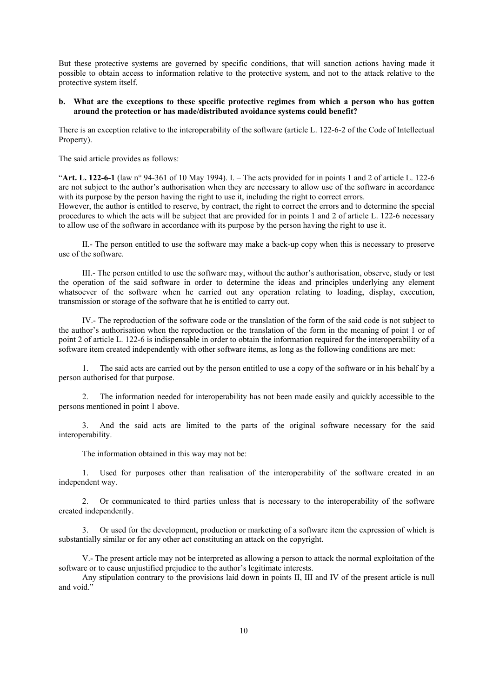But these protective systems are governed by specific conditions, that will sanction actions having made it possible to obtain access to information relative to the protective system, and not to the attack relative to the protective system itself.

#### **b. What are the exceptions to these specific protective regimes from which a person who has gotten around the protection or has made/distributed avoidance systems could benefit?**

There is an exception relative to the interoperability of the software (article L. 122-6-2 of the Code of Intellectual Property).

The said article provides as follows:

"Art. L.  $122-6-1$  (law n° 94-361 of 10 May 1994). I. – The acts provided for in points 1 and 2 of article L. 122-6 are not subject to the author's authorisation when they are necessary to allow use of the software in accordance with its purpose by the person having the right to use it, including the right to correct errors.

However, the author is entitled to reserve, by contract, the right to correct the errors and to determine the special procedures to which the acts will be subject that are provided for in points 1 and 2 of article L. 122-6 necessary to allow use of the software in accordance with its purpose by the person having the right to use it.

II.- The person entitled to use the software may make a back-up copy when this is necessary to preserve use of the software.

III.- The person entitled to use the software may, without the author's authorisation, observe, study or test the operation of the said software in order to determine the ideas and principles underlying any element whatsoever of the software when he carried out any operation relating to loading, display, execution, transmission or storage of the software that he is entitled to carry out.

IV.- The reproduction of the software code or the translation of the form of the said code is not subject to the author's authorisation when the reproduction or the translation of the form in the meaning of point 1 or of point 2 of article L. 122-6 is indispensable in order to obtain the information required for the interoperability of a software item created independently with other software items, as long as the following conditions are met:

1. The said acts are carried out by the person entitled to use a copy of the software or in his behalf by a person authorised for that purpose.

2. The information needed for interoperability has not been made easily and quickly accessible to the persons mentioned in point 1 above.

3. And the said acts are limited to the parts of the original software necessary for the said interoperability.

The information obtained in this way may not be:

1. Used for purposes other than realisation of the interoperability of the software created in an independent way.

2. Or communicated to third parties unless that is necessary to the interoperability of the software created independently.

3. Or used for the development, production or marketing of a software item the expression of which is substantially similar or for any other act constituting an attack on the copyright.

V.- The present article may not be interpreted as allowing a person to attack the normal exploitation of the software or to cause unjustified prejudice to the author's legitimate interests.

Any stipulation contrary to the provisions laid down in points II, III and IV of the present article is null and void."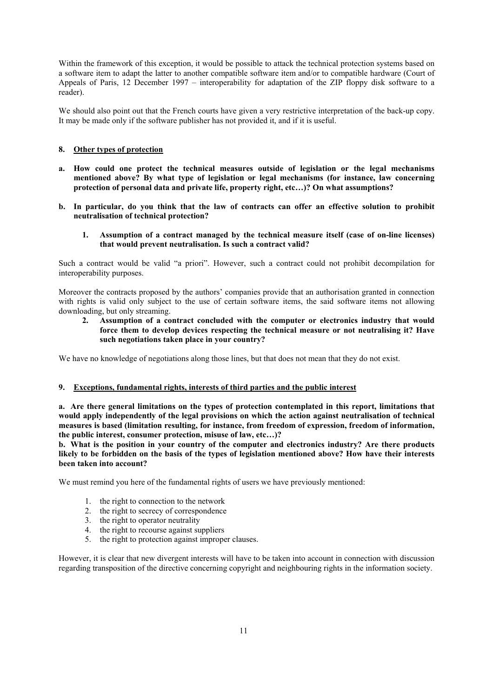Within the framework of this exception, it would be possible to attack the technical protection systems based on a software item to adapt the latter to another compatible software item and/or to compatible hardware (Court of Appeals of Paris, 12 December 1997 – interoperability for adaptation of the ZIP floppy disk software to a reader).

We should also point out that the French courts have given a very restrictive interpretation of the back-up copy. It may be made only if the software publisher has not provided it, and if it is useful.

# **8. Other types of protection**

- **a. How could one protect the technical measures outside of legislation or the legal mechanisms mentioned above? By what type of legislation or legal mechanisms (for instance, law concerning protection of personal data and private life, property right, etc…)? On what assumptions?**
- **b. In particular, do you think that the law of contracts can offer an effective solution to prohibit neutralisation of technical protection?** 
	- **1. Assumption of a contract managed by the technical measure itself (case of on-line licenses) that would prevent neutralisation. Is such a contract valid?**

Such a contract would be valid "a priori". However, such a contract could not prohibit decompilation for interoperability purposes.

Moreover the contracts proposed by the authors' companies provide that an authorisation granted in connection with rights is valid only subject to the use of certain software items, the said software items not allowing downloading, but only streaming.

# **2. Assumption of a contract concluded with the computer or electronics industry that would force them to develop devices respecting the technical measure or not neutralising it? Have such negotiations taken place in your country?**

We have no knowledge of negotiations along those lines, but that does not mean that they do not exist.

# **9. Exceptions, fundamental rights, interests of third parties and the public interest**

**a. Are there general limitations on the types of protection contemplated in this report, limitations that would apply independently of the legal provisions on which the action against neutralisation of technical measures is based (limitation resulting, for instance, from freedom of expression, freedom of information, the public interest, consumer protection, misuse of law, etc…)?** 

**b. What is the position in your country of the computer and electronics industry? Are there products likely to be forbidden on the basis of the types of legislation mentioned above? How have their interests been taken into account?** 

We must remind you here of the fundamental rights of users we have previously mentioned:

- 1. the right to connection to the network
- 2. the right to secrecy of correspondence
- 3. the right to operator neutrality
- 4. the right to recourse against suppliers
- 5. the right to protection against improper clauses.

However, it is clear that new divergent interests will have to be taken into account in connection with discussion regarding transposition of the directive concerning copyright and neighbouring rights in the information society.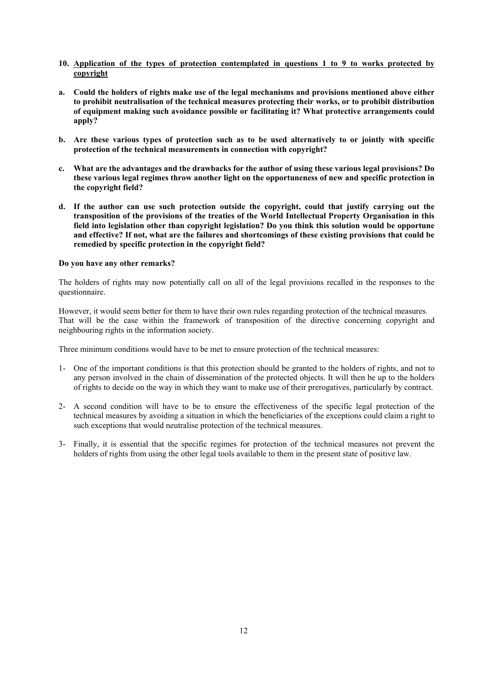# **10. Application of the types of protection contemplated in questions 1 to 9 to works protected by copyright**

- **a. Could the holders of rights make use of the legal mechanisms and provisions mentioned above either to prohibit neutralisation of the technical measures protecting their works, or to prohibit distribution of equipment making such avoidance possible or facilitating it? What protective arrangements could apply?**
- **b. Are these various types of protection such as to be used alternatively to or jointly with specific protection of the technical measurements in connection with copyright?**
- **c. What are the advantages and the drawbacks for the author of using these various legal provisions? Do these various legal regimes throw another light on the opportuneness of new and specific protection in the copyright field?**
- **d. If the author can use such protection outside the copyright, could that justify carrying out the transposition of the provisions of the treaties of the World Intellectual Property Organisation in this field into legislation other than copyright legislation? Do you think this solution would be opportune and effective? If not, what are the failures and shortcomings of these existing provisions that could be remedied by specific protection in the copyright field?**

# **Do you have any other remarks?**

The holders of rights may now potentially call on all of the legal provisions recalled in the responses to the questionnaire.

However, it would seem better for them to have their own rules regarding protection of the technical measures. That will be the case within the framework of transposition of the directive concerning copyright and neighbouring rights in the information society.

Three minimum conditions would have to be met to ensure protection of the technical measures:

- 1- One of the important conditions is that this protection should be granted to the holders of rights, and not to any person involved in the chain of dissemination of the protected objects. It will then be up to the holders of rights to decide on the way in which they want to make use of their prerogatives, particularly by contract.
- 2- A second condition will have to be to ensure the effectiveness of the specific legal protection of the technical measures by avoiding a situation in which the beneficiaries of the exceptions could claim a right to such exceptions that would neutralise protection of the technical measures.
- 3- Finally, it is essential that the specific regimes for protection of the technical measures not prevent the holders of rights from using the other legal tools available to them in the present state of positive law.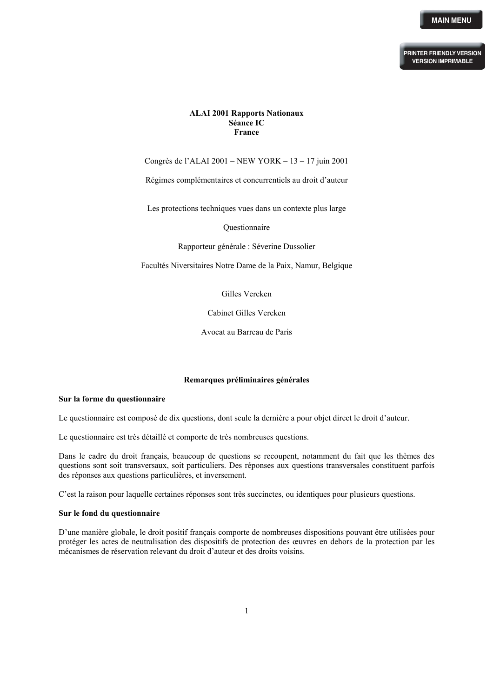**PRINTER FRIENDLY VERSION VERSION IMPRIMABLE**

# **ALAI 2001 Rapports Nationaux Séance IC France**

Congrès de l'ALAI 2001 – NEW YORK – 13 – 17 juin 2001

Régimes complémentaires et concurrentiels au droit d'auteur

Les protections techniques vues dans un contexte plus large

**Ouestionnaire** 

Rapporteur générale : Séverine Dussolier

Facultés Niversitaires Notre Dame de la Paix, Namur, Belgique

Gilles Vercken

Cabinet Gilles Vercken

Avocat au Barreau de Paris

#### **Remarques préliminaires générales**

# **Sur la forme du questionnaire**

Le questionnaire est composé de dix questions, dont seule la dernière a pour objet direct le droit d'auteur.

Le questionnaire est très détaillé et comporte de très nombreuses questions.

Dans le cadre du droit français, beaucoup de questions se recoupent, notamment du fait que les thèmes des questions sont soit transversaux, soit particuliers. Des réponses aux questions transversales constituent parfois des réponses aux questions particulières, et inversement.

C'est la raison pour laquelle certaines réponses sont très succinctes, ou identiques pour plusieurs questions.

# **Sur le fond du questionnaire**

D'une manière globale, le droit positif français comporte de nombreuses dispositions pouvant être utilisées pour protéger les actes de neutralisation des dispositifs de protection des œuvres en dehors de la protection par les mécanismes de réservation relevant du droit d'auteur et des droits voisins.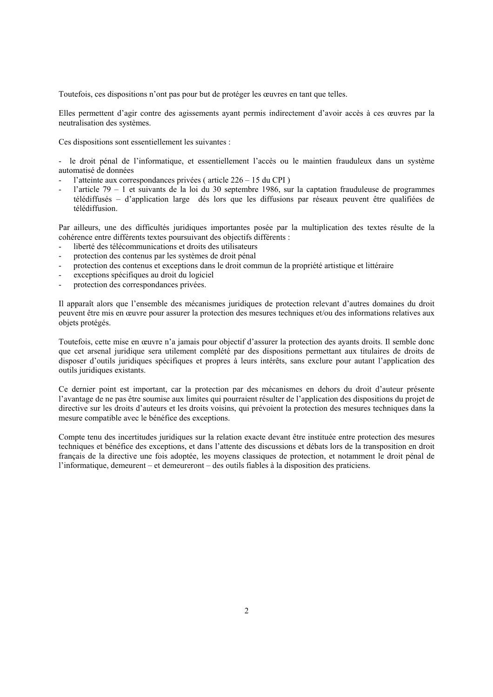Toutefois, ces dispositions n'ont pas pour but de protéger les œuvres en tant que telles.

Elles permettent d'agir contre des agissements ayant permis indirectement d'avoir accès à ces œuvres par la neutralisation des systèmes.

Ces dispositions sont essentiellement les suivantes :

le droit pénal de l'informatique, et essentiellement l'accès ou le maintien frauduleux dans un système automatisé de données

- l'atteinte aux correspondances privées (article 226 15 du CPI)
- l'article 79 1 et suivants de la loi du 30 septembre 1986, sur la captation frauduleuse de programmes télédiffusés – d'application large dés lors que les diffusions par réseaux peuvent être qualifiées de télédiffusion.

Par ailleurs, une des difficultés juridiques importantes posée par la multiplication des textes résulte de la cohérence entre différents textes poursuivant des objectifs différents :

- liberté des télécommunications et droits des utilisateurs
- protection des contenus par les systèmes de droit pénal
- protection des contenus et exceptions dans le droit commun de la propriété artistique et littéraire
- exceptions spécifiques au droit du logiciel
- protection des correspondances privées.

Il apparaît alors que l'ensemble des mécanismes juridiques de protection relevant d'autres domaines du droit peuvent être mis en œuvre pour assurer la protection des mesures techniques et/ou des informations relatives aux objets protégés.

Toutefois, cette mise en œuvre n'a jamais pour objectif d'assurer la protection des ayants droits. Il semble donc que cet arsenal juridique sera utilement complété par des dispositions permettant aux titulaires de droits de disposer d'outils juridiques spécifiques et propres à leurs intérêts, sans exclure pour autant l'application des outils juridiques existants.

Ce dernier point est important, car la protection par des mécanismes en dehors du droit d'auteur présente l'avantage de ne pas être soumise aux limites qui pourraient résulter de l'application des dispositions du projet de directive sur les droits d'auteurs et les droits voisins, qui prévoient la protection des mesures techniques dans la mesure compatible avec le bénéfice des exceptions.

Compte tenu des incertitudes juridiques sur la relation exacte devant être instituée entre protection des mesures techniques et bénéfice des exceptions, et dans l'attente des discussions et débats lors de la transposition en droit français de la directive une fois adoptée, les moyens classiques de protection, et notamment le droit pénal de l'informatique, demeurent – et demeureront – des outils fiables à la disposition des praticiens.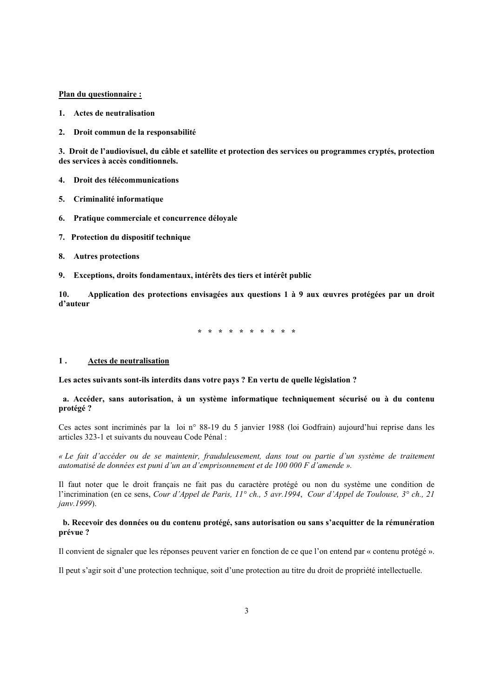# **Plan du questionnaire :**

- **1. Actes de neutralisation**
- **2. Droit commun de la responsabilité**

**3. Droit de l'audiovisuel, du câble et satellite et protection des services ou programmes cryptés, protection des services à accès conditionnels.** 

- **4. Droit des télécommunications**
- **5. Criminalité informatique**
- **6. Pratique commerciale et concurrence déloyale**
- **7. Protection du dispositif technique**
- **8. Autres protections**
- **9. Exceptions, droits fondamentaux, intérêts des tiers et intérêt public**

**10. Application des protections envisagées aux questions 1 à 9 aux œuvres protégées par un droit d'auteur** 

**\* \* \* \* \* \* \* \* \* \*** 

# **1 . Actes de neutralisation**

**Les actes suivants sont-ils interdits dans votre pays ? En vertu de quelle législation ?** 

## **a. Accéder, sans autorisation, à un système informatique techniquement sécurisé ou à du contenu protégé ?**

Ces actes sont incriminés par la loi n° 88-19 du 5 janvier 1988 (loi Godfrain) aujourd'hui reprise dans les articles 323-1 et suivants du nouveau Code Pénal :

*« Le fait d'accéder ou de se maintenir, frauduleusement, dans tout ou partie d'un système de traitement automatisé de données est puni d'un an d'emprisonnement et de 100 000 F d'amende ».* 

Il faut noter que le droit français ne fait pas du caractère protégé ou non du système une condition de l'incrimination (en ce sens, *Cour d'Appel de Paris, 11° ch., 5 avr.1994*, *Cour d'Appel de Toulouse, 3° ch., 21 janv.1999*).

# **b. Recevoir des données ou du contenu protégé, sans autorisation ou sans s'acquitter de la rémunération prévue ?**

Il convient de signaler que les réponses peuvent varier en fonction de ce que l'on entend par « contenu protégé ».

Il peut s'agir soit d'une protection technique, soit d'une protection au titre du droit de propriété intellectuelle.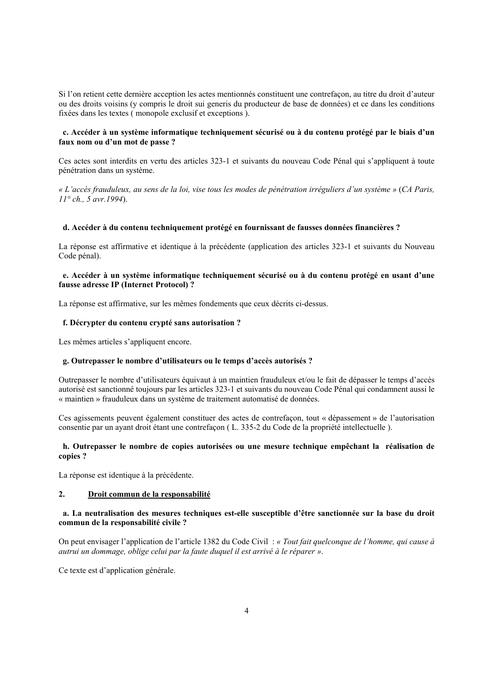Si l'on retient cette dernière acception les actes mentionnés constituent une contrefaçon, au titre du droit d'auteur ou des droits voisins (y compris le droit sui generis du producteur de base de données) et ce dans les conditions fixées dans les textes ( monopole exclusif et exceptions ).

# **c. Accéder à un système informatique techniquement sécurisé ou à du contenu protégé par le biais d'un faux nom ou d'un mot de passe ?**

Ces actes sont interdits en vertu des articles 323-1 et suivants du nouveau Code Pénal qui s'appliquent à toute pénétration dans un système.

*« L'accès frauduleux, au sens de la loi, vise tous les modes de pénétration irréguliers d'un système »* (*CA Paris, 11° ch., 5 avr.1994*).

#### **d. Accéder à du contenu techniquement protégé en fournissant de fausses données financières ?**

La réponse est affirmative et identique à la précédente (application des articles 323-1 et suivants du Nouveau Code pénal).

# **e. Accéder à un système informatique techniquement sécurisé ou à du contenu protégé en usant d'une fausse adresse IP (Internet Protocol) ?**

La réponse est affirmative, sur les mêmes fondements que ceux décrits ci-dessus.

# **f. Décrypter du contenu crypté sans autorisation ?**

Les mêmes articles s'appliquent encore.

#### **g. Outrepasser le nombre d'utilisateurs ou le temps d'accès autorisés ?**

Outrepasser le nombre d'utilisateurs équivaut à un maintien frauduleux et/ou le fait de dépasser le temps d'accès autorisé est sanctionné toujours par les articles 323-1 et suivants du nouveau Code Pénal qui condamnent aussi le « maintien » frauduleux dans un système de traitement automatisé de données.

Ces agissements peuvent également constituer des actes de contrefaçon, tout « dépassement » de l'autorisation consentie par un ayant droit étant une contrefaçon ( L. 335-2 du Code de la propriété intellectuelle ).

# **h. Outrepasser le nombre de copies autorisées ou une mesure technique empêchant la réalisation de copies ?**

La réponse est identique à la précédente.

#### **2. Droit commun de la responsabilité**

# **a. La neutralisation des mesures techniques est-elle susceptible d'être sanctionnée sur la base du droit commun de la responsabilité civile ?**

On peut envisager l'application de l'article 1382 du Code Civil : *« Tout fait quelconque de l'homme, qui cause à autrui un dommage, oblige celui par la faute duquel il est arrivé à le réparer »*.

Ce texte est d'application générale.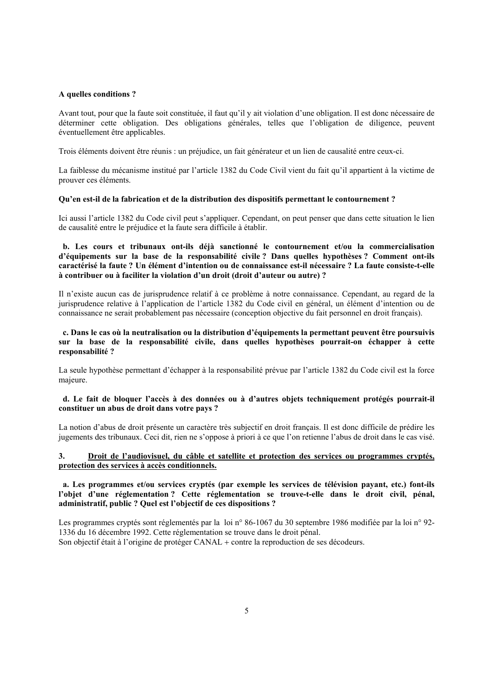## **A quelles conditions ?**

Avant tout, pour que la faute soit constituée, il faut qu'il y ait violation d'une obligation. Il est donc nécessaire de déterminer cette obligation. Des obligations générales, telles que l'obligation de diligence, peuvent éventuellement être applicables.

Trois éléments doivent être réunis : un préjudice, un fait générateur et un lien de causalité entre ceux-ci.

La faiblesse du mécanisme institué par l'article 1382 du Code Civil vient du fait qu'il appartient à la victime de prouver ces éléments.

#### **Qu'en est-il de la fabrication et de la distribution des dispositifs permettant le contournement ?**

Ici aussi l'article 1382 du Code civil peut s'appliquer. Cependant, on peut penser que dans cette situation le lien de causalité entre le préjudice et la faute sera difficile à établir.

**b. Les cours et tribunaux ont-ils déjà sanctionné le contournement et/ou la commercialisation d'équipements sur la base de la responsabilité civile ? Dans quelles hypothèses ? Comment ont-ils caractérisé la faute ? Un élément d'intention ou de connaissance est-il nécessaire ? La faute consiste-t-elle à contribuer ou à faciliter la violation d'un droit (droit d'auteur ou autre) ?**

Il n'existe aucun cas de jurisprudence relatif à ce problème à notre connaissance. Cependant, au regard de la jurisprudence relative à l'application de l'article 1382 du Code civil en général, un élément d'intention ou de connaissance ne serait probablement pas nécessaire (conception objective du fait personnel en droit français).

**c. Dans le cas où la neutralisation ou la distribution d'équipements la permettant peuvent être poursuivis sur la base de la responsabilité civile, dans quelles hypothèses pourrait-on échapper à cette responsabilité ?**

La seule hypothèse permettant d'échapper à la responsabilité prévue par l'article 1382 du Code civil est la force majeure.

## **d. Le fait de bloquer l'accès à des données ou à d'autres objets techniquement protégés pourrait-il constituer un abus de droit dans votre pays ?**

La notion d'abus de droit présente un caractère très subjectif en droit français. Il est donc difficile de prédire les jugements des tribunaux. Ceci dit, rien ne s'oppose à priori à ce que l'on retienne l'abus de droit dans le cas visé.

## **3. Droit de l'audiovisuel, du câble et satellite et protection des services ou programmes cryptés, protection des services à accès conditionnels.**

# **a. Les programmes et/ou services cryptés (par exemple les services de télévision payant, etc.) font-ils l'objet d'une réglementation ? Cette réglementation se trouve-t-elle dans le droit civil, pénal, administratif, public ? Quel est l'objectif de ces dispositions ?**

Les programmes cryptés sont réglementés par la loi n° 86-1067 du 30 septembre 1986 modifiée par la loi n° 92-1336 du 16 décembre 1992. Cette réglementation se trouve dans le droit pénal. Son objectif était à l'origine de protéger CANAL + contre la reproduction de ses décodeurs.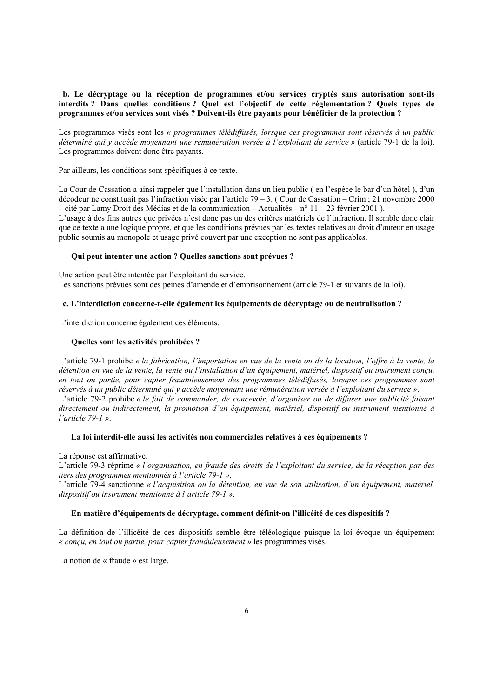**b. Le décryptage ou la réception de programmes et/ou services cryptés sans autorisation sont-ils interdits ? Dans quelles conditions ? Quel est l'objectif de cette réglementation ? Quels types de programmes et/ou services sont visés ? Doivent-ils être payants pour bénéficier de la protection ?** 

Les programmes visés sont les *« programmes télédiffusés, lorsque ces programmes sont réservés à un public déterminé qui y accède moyennant une rémunération versée à l'exploitant du service »* (article 79-1 de la loi). Les programmes doivent donc être payants.

Par ailleurs, les conditions sont spécifiques à ce texte.

La Cour de Cassation a ainsi rappeler que l'installation dans un lieu public ( en l'espèce le bar d'un hôtel ), d'un décodeur ne constituait pas l'infraction visée par l'article 79 – 3. ( Cour de Cassation – Crim ; 21 novembre 2000 – cité par Lamy Droit des Médias et de la communication – Actualités – n° 11 – 23 février 2001 ).

L'usage à des fins autres que privées n'est donc pas un des critères matériels de l'infraction. Il semble donc clair que ce texte a une logique propre, et que les conditions prévues par les textes relatives au droit d'auteur en usage public soumis au monopole et usage privé couvert par une exception ne sont pas applicables.

#### **Qui peut intenter une action ? Quelles sanctions sont prévues ?**

Une action peut être intentée par l'exploitant du service.

Les sanctions prévues sont des peines d'amende et d'emprisonnement (article 79-1 et suivants de la loi).

# **c. L'interdiction concerne-t-elle également les équipements de décryptage ou de neutralisation ?**

L'interdiction concerne également ces éléments.

#### **Quelles sont les activités prohibées ?**

L'article 79-1 prohibe *« la fabrication, l'importation en vue de la vente ou de la location, l'offre à la vente, la détention en vue de la vente, la vente ou l'installation d'un équipement, matériel, dispositif ou instrument conçu, en tout ou partie, pour capter frauduleusement des programmes télédiffusés, lorsque ces programmes sont réservés à un public déterminé qui y accède moyennant une rémunération versée à l'exploitant du service »*. L'article 79-2 prohibe *« le fait de commander, de concevoir, d'organiser ou de diffuser une publicité faisant directement ou indirectement, la promotion d'un équipement, matériel, dispositif ou instrument mentionné à l'article 79-1 »*.

#### **La loi interdit-elle aussi les activités non commerciales relatives à ces équipements ?**

La réponse est affirmative.

L'article 79-3 réprime *« l'organisation, en fraude des droits de l'exploitant du service, de la réception par des tiers des programmes mentionnés à l'article 79-1 »*.

L'article 79-4 sanctionne *« l'acquisition ou la détention, en vue de son utilisation, d'un équipement, matériel, dispositif ou instrument mentionné à l'article 79-1 »*.

# **En matière d'équipements de décryptage, comment définit-on l'illicéité de ces dispositifs ?**

La définition de l'illicéité de ces dispositifs semble être téléologique puisque la loi évoque un équipement *« conçu, en tout ou partie, pour capter frauduleusement »* les programmes visés.

La notion de « fraude » est large.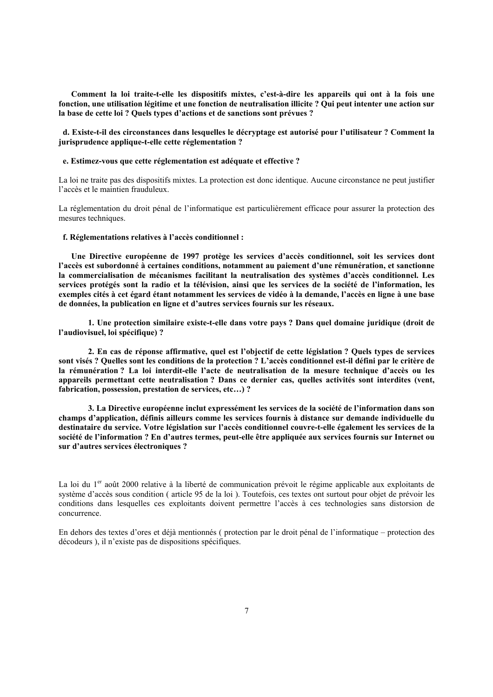**Comment la loi traite-t-elle les dispositifs mixtes, c'est-à-dire les appareils qui ont à la fois une fonction, une utilisation légitime et une fonction de neutralisation illicite ? Qui peut intenter une action sur la base de cette loi ? Quels types d'actions et de sanctions sont prévues ?** 

# **d. Existe-t-il des circonstances dans lesquelles le décryptage est autorisé pour l'utilisateur ? Comment la jurisprudence applique-t-elle cette réglementation ?**

## **e. Estimez-vous que cette réglementation est adéquate et effective ?**

La loi ne traite pas des dispositifs mixtes. La protection est donc identique. Aucune circonstance ne peut justifier l'accès et le maintien frauduleux.

La réglementation du droit pénal de l'informatique est particulièrement efficace pour assurer la protection des mesures techniques.

# **f. Réglementations relatives à l'accès conditionnel :**

**Une Directive européenne de 1997 protège les services d'accès conditionnel, soit les services dont l'accès est subordonné à certaines conditions, notamment au paiement d'une rémunération, et sanctionne la commercialisation de mécanismes facilitant la neutralisation des systèmes d'accès conditionnel. Les services protégés sont la radio et la télévision, ainsi que les services de la société de l'information, les exemples cités à cet égard étant notamment les services de vidéo à la demande, l'accès en ligne à une base de données, la publication en ligne et d'autres services fournis sur les réseaux.** 

**1. Une protection similaire existe-t-elle dans votre pays ? Dans quel domaine juridique (droit de l'audiovisuel, loi spécifique) ?**

**2. En cas de réponse affirmative, quel est l'objectif de cette législation ? Quels types de services sont visés ? Quelles sont les conditions de la protection ? L'accès conditionnel est-il défini par le critère de la rémunération ? La loi interdit-elle l'acte de neutralisation de la mesure technique d'accès ou les appareils permettant cette neutralisation ? Dans ce dernier cas, quelles activités sont interdites (vent, fabrication, possession, prestation de services, etc…) ?** 

**3. La Directive européenne inclut expressément les services de la société de l'information dans son champs d'application, définis ailleurs comme les services fournis à distance sur demande individuelle du destinataire du service. Votre législation sur l'accès conditionnel couvre-t-elle également les services de la société de l'information ? En d'autres termes, peut-elle être appliquée aux services fournis sur Internet ou sur d'autres services électroniques ?** 

En dehors des textes d'ores et déjà mentionnés ( protection par le droit pénal de l'informatique – protection des décodeurs ), il n'existe pas de dispositions spécifiques.

La loi du 1<sup>er</sup> août 2000 relative à la liberté de communication prévoit le régime applicable aux exploitants de système d'accès sous condition ( article 95 de la loi ). Toutefois, ces textes ont surtout pour objet de prévoir les conditions dans lesquelles ces exploitants doivent permettre l'accès à ces technologies sans distorsion de concurrence.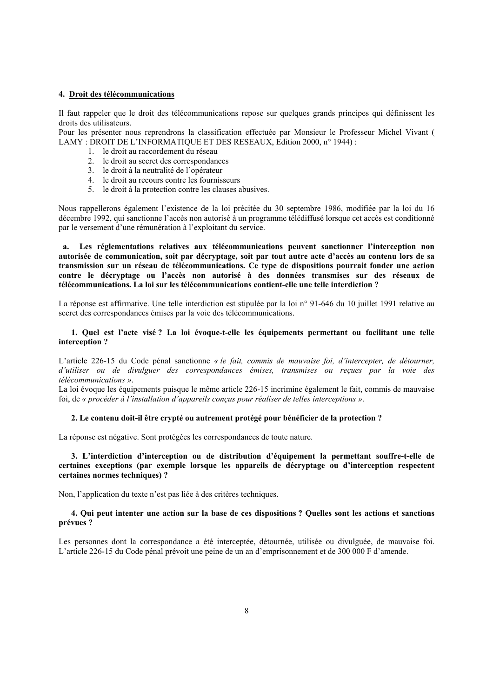# **4. Droit des télécommunications**

Il faut rappeler que le droit des télécommunications repose sur quelques grands principes qui définissent les droits des utilisateurs.

Pour les présenter nous reprendrons la classification effectuée par Monsieur le Professeur Michel Vivant ( LAMY : DROIT DE L'INFORMATIQUE ET DES RESEAUX, Edition 2000, n° 1944) :

- 1. le droit au raccordement du réseau
- 2. le droit au secret des correspondances
- 3. le droit à la neutralité de l'opérateur
- 4. le droit au recours contre les fournisseurs
- 5. le droit à la protection contre les clauses abusives.

Nous rappellerons également l'existence de la loi précitée du 30 septembre 1986, modifiée par la loi du 16 décembre 1992, qui sanctionne l'accès non autorisé à un programme télédiffusé lorsque cet accès est conditionné par le versement d'une rémunération à l'exploitant du service.

**a. Les réglementations relatives aux télécommunications peuvent sanctionner l'interception non autorisée de communication, soit par décryptage, soit par tout autre acte d'accès au contenu lors de sa transmission sur un réseau de télécommunications. Ce type de dispositions pourrait fonder une action contre le décryptage ou l'accès non autorisé à des données transmises sur des réseaux de télécommunications. La loi sur les télécommunications contient-elle une telle interdiction ?**

La réponse est affirmative. Une telle interdiction est stipulée par la loi n° 91-646 du 10 juillet 1991 relative au secret des correspondances émises par la voie des télécommunications.

## **1. Quel est l'acte visé ? La loi évoque-t-elle les équipements permettant ou facilitant une telle interception ?**

L'article 226-15 du Code pénal sanctionne *« le fait, commis de mauvaise foi, d'intercepter, de détourner, d'utiliser ou de divulguer des correspondances émises, transmises ou reçues par la voie des télécommunications »*.

La loi évoque les équipements puisque le même article 226-15 incrimine également le fait, commis de mauvaise foi, de *« procéder à l'installation d'appareils conçus pour réaliser de telles interceptions »*.

#### **2. Le contenu doit-il être crypté ou autrement protégé pour bénéficier de la protection ?**

La réponse est négative. Sont protégées les correspondances de toute nature.

 **3. L'interdiction d'interception ou de distribution d'équipement la permettant souffre-t-elle de certaines exceptions (par exemple lorsque les appareils de décryptage ou d'interception respectent certaines normes techniques) ?** 

Non, l'application du texte n'est pas liée à des critères techniques.

# **4. Qui peut intenter une action sur la base de ces dispositions ? Quelles sont les actions et sanctions prévues ?**

Les personnes dont la correspondance a été interceptée, détournée, utilisée ou divulguée, de mauvaise foi. L'article 226-15 du Code pénal prévoit une peine de un an d'emprisonnement et de 300 000 F d'amende.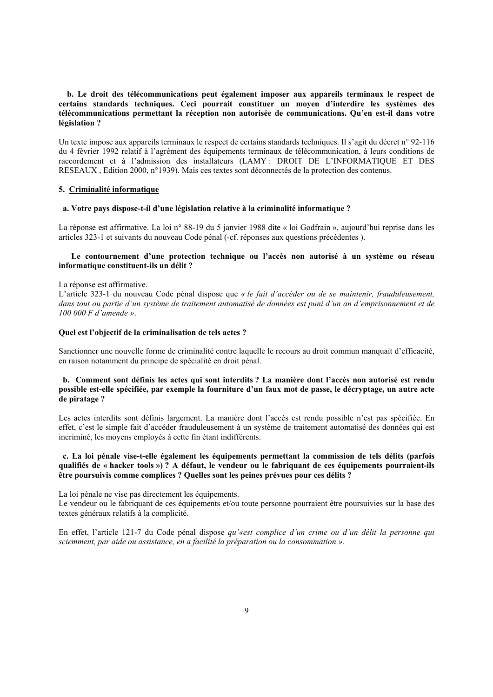# **b. Le droit des télécommunications peut également imposer aux appareils terminaux le respect de certains standards techniques. Ceci pourrait constituer un moyen d'interdire les systèmes des télécommunications permettant la réception non autorisée de communications. Qu'en est-il dans votre législation ?**

Un texte impose aux appareils terminaux le respect de certains standards techniques. Il s'agit du décret n° 92-116 du 4 février 1992 relatif à l'agrément des équipements terminaux de télécommunication, à leurs conditions de raccordement et à l'admission des installateurs (LAMY : DROIT DE L'INFORMATIQUE ET DES RESEAUX , Edition 2000, n°1939). Mais ces textes sont déconnectés de la protection des contenus.

#### **5. Criminalité informatique**

#### **a. Votre pays dispose-t-il d'une législation relative à la criminalité informatique ?**

La réponse est affirmative. La loi n° 88-19 du 5 janvier 1988 dite « loi Godfrain », aujourd'hui reprise dans les articles 323-1 et suivants du nouveau Code pénal (-cf. réponses aux questions précédentes ).

## **Le contournement d'une protection technique ou l'accès non autorisé à un système ou réseau informatique constituent-ils un délit ?**

La réponse est affirmative.

L'article 323-1 du nouveau Code pénal dispose que *« le fait d'accéder ou de se maintenir, frauduleusement, dans tout ou partie d'un système de traitement automatisé de données est puni d'un an d'emprisonnement et de 100 000 F d'amende »*.

#### **Quel est l'objectif de la criminalisation de tels actes ?**

Sanctionner une nouvelle forme de criminalité contre laquelle le recours au droit commun manquait d'efficacité, en raison notamment du principe de spécialité en droit pénal.

## **b. Comment sont définis les actes qui sont interdits ? La manière dont l'accès non autorisé est rendu possible est-elle spécifiée, par exemple la fourniture d'un faux mot de passe, le décryptage, un autre acte de piratage ?**

Les actes interdits sont définis largement. La manière dont l'accès est rendu possible n'est pas spécifiée. En effet, c'est le simple fait d'accéder frauduleusement à un système de traitement automatisé des données qui est incriminé, les moyens employés à cette fin étant indifférents.

# **c. La loi pénale vise-t-elle également les équipements permettant la commission de tels délits (parfois qualifiés de « hacker tools ») ? A défaut, le vendeur ou le fabriquant de ces équipements pourraient-ils être poursuivis comme complices ? Quelles sont les peines prévues pour ces délits ?**

# La loi pénale ne vise pas directement les équipements.

Le vendeur ou le fabriquant de ces équipements et/ou toute personne pourraient être poursuivies sur la base des textes généraux relatifs à la complicité.

En effet, l'article 121-7 du Code pénal dispose *qu'«est complice d'un crime ou d'un délit la personne qui sciemment, par aide ou assistance, en a facilité la préparation ou la consommation »*.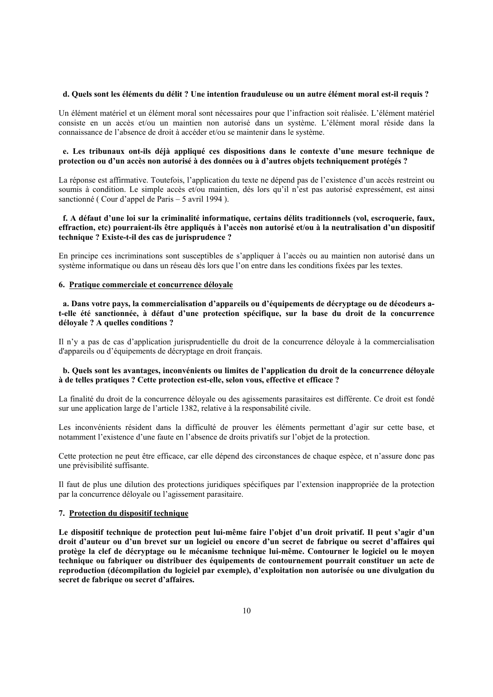### **d. Quels sont les éléments du délit ? Une intention frauduleuse ou un autre élément moral est-il requis ?**

Un élément matériel et un élément moral sont nécessaires pour que l'infraction soit réalisée. L'élément matériel consiste en un accès et/ou un maintien non autorisé dans un système. L'élément moral réside dans la connaissance de l'absence de droit à accéder et/ou se maintenir dans le système.

# **e. Les tribunaux ont-ils déjà appliqué ces dispositions dans le contexte d'une mesure technique de protection ou d'un accès non autorisé à des données ou à d'autres objets techniquement protégés ?**

La réponse est affirmative. Toutefois, l'application du texte ne dépend pas de l'existence d'un accès restreint ou soumis à condition. Le simple accès et/ou maintien, dés lors qu'il n'est pas autorisé expressément, est ainsi sanctionné ( Cour d'appel de Paris – 5 avril 1994 ).

# **f. A défaut d'une loi sur la criminalité informatique, certains délits traditionnels (vol, escroquerie, faux, effraction, etc) pourraient-ils être appliqués à l'accès non autorisé et/ou à la neutralisation d'un dispositif technique ? Existe-t-il des cas de jurisprudence ?**

En principe ces incriminations sont susceptibles de s'appliquer à l'accès ou au maintien non autorisé dans un système informatique ou dans un réseau dès lors que l'on entre dans les conditions fixées par les textes.

## **6. Pratique commerciale et concurrence déloyale**

**a. Dans votre pays, la commercialisation d'appareils ou d'équipements de décryptage ou de décodeurs at-elle été sanctionnée, à défaut d'une protection spécifique, sur la base du droit de la concurrence déloyale ? A quelles conditions ?** 

Il n'y a pas de cas d'application jurisprudentielle du droit de la concurrence déloyale à la commercialisation d'appareils ou d'équipements de décryptage en droit français.

# **b. Quels sont les avantages, inconvénients ou limites de l'application du droit de la concurrence déloyale à de telles pratiques ? Cette protection est-elle, selon vous, effective et efficace ?**

La finalité du droit de la concurrence déloyale ou des agissements parasitaires est différente. Ce droit est fondé sur une application large de l'article 1382, relative à la responsabilité civile.

Les inconvénients résident dans la difficulté de prouver les éléments permettant d'agir sur cette base, et notamment l'existence d'une faute en l'absence de droits privatifs sur l'objet de la protection.

Cette protection ne peut être efficace, car elle dépend des circonstances de chaque espèce, et n'assure donc pas une prévisibilité suffisante.

Il faut de plus une dilution des protections juridiques spécifiques par l'extension inappropriée de la protection par la concurrence déloyale ou l'agissement parasitaire.

# **7. Protection du dispositif technique**

**Le dispositif technique de protection peut lui-même faire l'objet d'un droit privatif. Il peut s'agir d'un droit d'auteur ou d'un brevet sur un logiciel ou encore d'un secret de fabrique ou secret d'affaires qui protège la clef de décryptage ou le mécanisme technique lui-même. Contourner le logiciel ou le moyen technique ou fabriquer ou distribuer des équipements de contournement pourrait constituer un acte de reproduction (décompilation du logiciel par exemple), d'exploitation non autorisée ou une divulgation du secret de fabrique ou secret d'affaires.**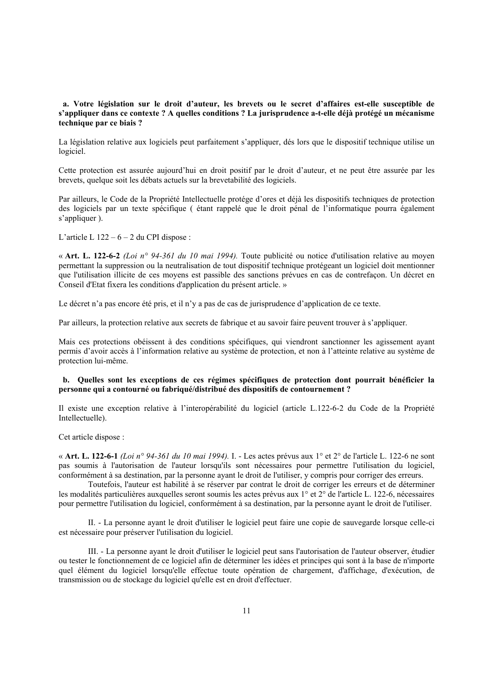## **a. Votre législation sur le droit d'auteur, les brevets ou le secret d'affaires est-elle susceptible de s'appliquer dans ce contexte ? A quelles conditions ? La jurisprudence a-t-elle déjà protégé un mécanisme technique par ce biais ?**

La législation relative aux logiciels peut parfaitement s'appliquer, dés lors que le dispositif technique utilise un logiciel.

Cette protection est assurée aujourd'hui en droit positif par le droit d'auteur, et ne peut être assurée par les brevets, quelque soit les débats actuels sur la brevetabilité des logiciels.

Par ailleurs, le Code de la Propriété Intellectuelle protége d'ores et déjà les dispositifs techniques de protection des logiciels par un texte spécifique ( étant rappelé que le droit pénal de l'informatique pourra également s'appliquer ).

L'article L  $122 - 6 - 2$  du CPI dispose :

« **Art. L. 122-6-2** *(Loi n° 94-361 du 10 mai 1994).* Toute publicité ou notice d'utilisation relative au moyen permettant la suppression ou la neutralisation de tout dispositif technique protégeant un logiciel doit mentionner que l'utilisation illicite de ces moyens est passible des sanctions prévues en cas de contrefaçon. Un décret en Conseil d'Etat fixera les conditions d'application du présent article. »

Le décret n'a pas encore été pris, et il n'y a pas de cas de jurisprudence d'application de ce texte.

Par ailleurs, la protection relative aux secrets de fabrique et au savoir faire peuvent trouver à s'appliquer.

Mais ces protections obéissent à des conditions spécifiques, qui viendront sanctionner les agissement ayant permis d'avoir accès à l'information relative au système de protection, et non à l'atteinte relative au système de protection lui-même.

# **b. Quelles sont les exceptions de ces régimes spécifiques de protection dont pourrait bénéficier la personne qui a contourné ou fabriqué/distribué des dispositifs de contournement ?**

Il existe une exception relative à l'interopérabilité du logiciel (article L.122-6-2 du Code de la Propriété Intellectuelle).

Cet article dispose :

« **Art. L. 122-6-1** *(Loi n° 94-361 du 10 mai 1994).* I. - Les actes prévus aux 1° et 2° de l'article L. 122-6 ne sont pas soumis à l'autorisation de l'auteur lorsqu'ils sont nécessaires pour permettre l'utilisation du logiciel, conformément à sa destination, par la personne ayant le droit de l'utiliser, y compris pour corriger des erreurs.

Toutefois, l'auteur est habilité à se réserver par contrat le droit de corriger les erreurs et de déterminer les modalités particulières auxquelles seront soumis les actes prévus aux 1° et 2° de l'article L. 122-6, nécessaires pour permettre l'utilisation du logiciel, conformément à sa destination, par la personne ayant le droit de l'utiliser.

II. - La personne ayant le droit d'utiliser le logiciel peut faire une copie de sauvegarde lorsque celle-ci est nécessaire pour préserver l'utilisation du logiciel.

III. - La personne ayant le droit d'utiliser le logiciel peut sans l'autorisation de l'auteur observer, étudier ou tester le fonctionnement de ce logiciel afin de déterminer les idées et principes qui sont à la base de n'importe quel élément du logiciel lorsqu'elle effectue toute opération de chargement, d'affichage, d'exécution, de transmission ou de stockage du logiciel qu'elle est en droit d'effectuer.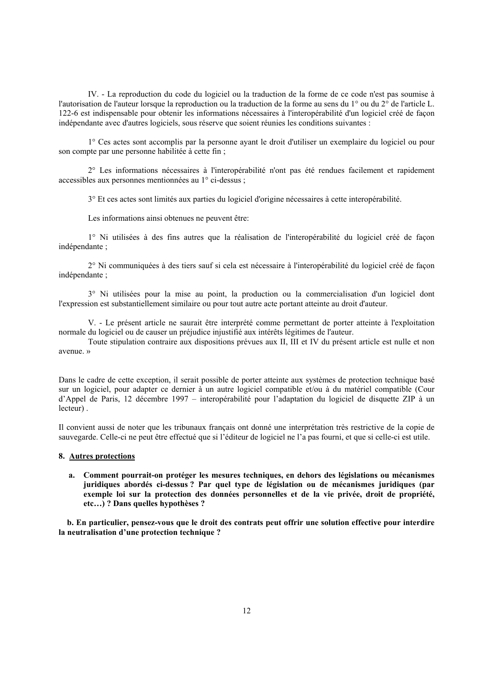IV. - La reproduction du code du logiciel ou la traduction de la forme de ce code n'est pas soumise à l'autorisation de l'auteur lorsque la reproduction ou la traduction de la forme au sens du 1° ou du 2° de l'article L. 122-6 est indispensable pour obtenir les informations nécessaires à l'interopérabilité d'un logiciel créé de façon indépendante avec d'autres logiciels, sous réserve que soient réunies les conditions suivantes :

1° Ces actes sont accomplis par la personne ayant le droit d'utiliser un exemplaire du logiciel ou pour son compte par une personne habilitée à cette fin ;

2° Les informations nécessaires à l'interopérabilité n'ont pas été rendues facilement et rapidement accessibles aux personnes mentionnées au 1° ci-dessus ;

3° Et ces actes sont limités aux parties du logiciel d'origine nécessaires à cette interopérabilité.

Les informations ainsi obtenues ne peuvent être:

1° Ni utilisées à des fins autres que la réalisation de l'interopérabilité du logiciel créé de façon indépendante ;

2° Ni communiquées à des tiers sauf si cela est nécessaire à l'interopérabilité du logiciel créé de façon indépendante ;

3° Ni utilisées pour la mise au point, la production ou la commercialisation d'un logiciel dont l'expression est substantiellement similaire ou pour tout autre acte portant atteinte au droit d'auteur.

V. - Le présent article ne saurait être interprété comme permettant de porter atteinte à l'exploitation normale du logiciel ou de causer un préjudice injustifié aux intérêts légitimes de l'auteur.

Toute stipulation contraire aux dispositions prévues aux II, III et IV du présent article est nulle et non avenue. »

Dans le cadre de cette exception, il serait possible de porter atteinte aux systèmes de protection technique basé sur un logiciel, pour adapter ce dernier à un autre logiciel compatible et/ou à du matériel compatible (Cour d'Appel de Paris, 12 décembre 1997 – interopérabilité pour l'adaptation du logiciel de disquette ZIP à un lecteur) .

Il convient aussi de noter que les tribunaux français ont donné une interprétation très restrictive de la copie de sauvegarde. Celle-ci ne peut être effectué que si l'éditeur de logiciel ne l'a pas fourni, et que si celle-ci est utile.

#### **8. Autres protections**

**a. Comment pourrait-on protéger les mesures techniques, en dehors des législations ou mécanismes juridiques abordés ci-dessus ? Par quel type de législation ou de mécanismes juridiques (par exemple loi sur la protection des données personnelles et de la vie privée, droit de propriété, etc…) ? Dans quelles hypothèses ?** 

**b. En particulier, pensez-vous que le droit des contrats peut offrir une solution effective pour interdire la neutralisation d'une protection technique ?**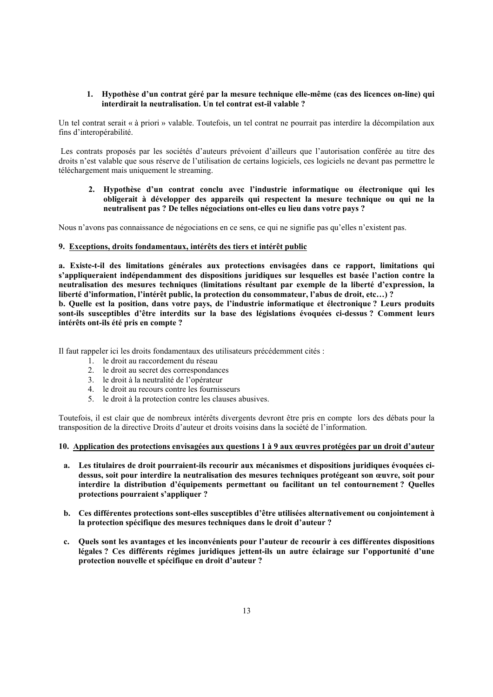# **1. Hypothèse d'un contrat géré par la mesure technique elle-même (cas des licences on-line) qui interdirait la neutralisation. Un tel contrat est-il valable ?**

Un tel contrat serait « à priori » valable. Toutefois, un tel contrat ne pourrait pas interdire la décompilation aux fins d'interopérabilité.

Les contrats proposés par les sociétés d'auteurs prévoient d'ailleurs que l'autorisation conférée au titre des droits n'est valable que sous réserve de l'utilisation de certains logiciels, ces logiciels ne devant pas permettre le téléchargement mais uniquement le streaming.

# **2. Hypothèse d'un contrat conclu avec l'industrie informatique ou électronique qui les obligerait à développer des appareils qui respectent la mesure technique ou qui ne la neutralisent pas ? De telles négociations ont-elles eu lieu dans votre pays ?**

Nous n'avons pas connaissance de négociations en ce sens, ce qui ne signifie pas qu'elles n'existent pas.

#### **9. Exceptions, droits fondamentaux, intérêts des tiers et intérêt public**

**a. Existe-t-il des limitations générales aux protections envisagées dans ce rapport, limitations qui s'appliqueraient indépendamment des dispositions juridiques sur lesquelles est basée l'action contre la neutralisation des mesures techniques (limitations résultant par exemple de la liberté d'expression, la liberté d'information, l'intérêt public, la protection du consommateur, l'abus de droit, etc…) ?** 

**b. Quelle est la position, dans votre pays, de l'industrie informatique et électronique ? Leurs produits sont-ils susceptibles d'être interdits sur la base des législations évoquées ci-dessus ? Comment leurs intérêts ont-ils été pris en compte ?** 

Il faut rappeler ici les droits fondamentaux des utilisateurs précédemment cités :

- 1. le droit au raccordement du réseau
- 2. le droit au secret des correspondances
- 3. le droit à la neutralité de l'opérateur
- 4. le droit au recours contre les fournisseurs
- 5. le droit à la protection contre les clauses abusives.

Toutefois, il est clair que de nombreux intérêts divergents devront être pris en compte lors des débats pour la transposition de la directive Droits d'auteur et droits voisins dans la société de l'information.

#### **10. Application des protections envisagées aux questions 1 à 9 aux œuvres protégées par un droit d'auteur**

- **a. Les titulaires de droit pourraient-ils recourir aux mécanismes et dispositions juridiques évoquées cidessus, soit pour interdire la neutralisation des mesures techniques protégeant son œuvre, soit pour interdire la distribution d'équipements permettant ou facilitant un tel contournement ? Quelles protections pourraient s'appliquer ?**
- **b. Ces différentes protections sont-elles susceptibles d'être utilisées alternativement ou conjointement à la protection spécifique des mesures techniques dans le droit d'auteur ?**
- **c. Quels sont les avantages et les inconvénients pour l'auteur de recourir à ces différentes dispositions légales ? Ces différents régimes juridiques jettent-ils un autre éclairage sur l'opportunité d'une protection nouvelle et spécifique en droit d'auteur ?**